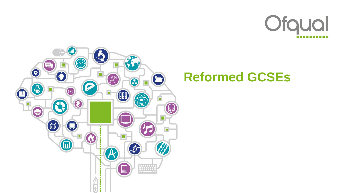



# **Reformed GCSEs**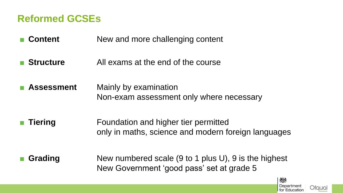#### **Reformed GCSEs**

- **Content** New and more challenging content
- **Structure** All exams at the end of the course
- **Assessment** Mainly by examination Non-exam assessment only where necessary
- **Tiering** Foundation and higher tier permitted only in maths, science and modern foreign languages
- 
- **Grading** New numbered scale (9 to 1 plus U), 9 is the highest New Government 'good pass' set at grade 5



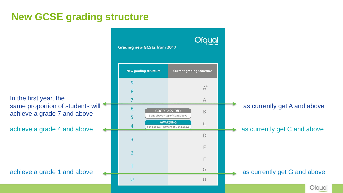## **New GCSE grading structure**

9 8 In the first year, the  $\overline{7}$ achieve a grade 7 and above 5

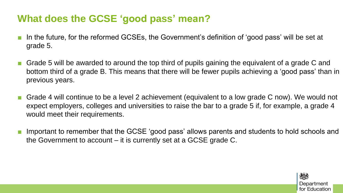#### **What does the GCSE 'good pass' mean?**

- In the future, for the reformed GCSEs, the Government's definition of 'good pass' will be set at grade 5.
- Grade 5 will be awarded to around the top third of pupils gaining the equivalent of a grade C and bottom third of a grade B. This means that there will be fewer pupils achieving a 'good pass' than in previous years.
- Grade 4 will continue to be a level 2 achievement (equivalent to a low grade C now). We would not expect employers, colleges and universities to raise the bar to a grade 5 if, for example, a grade 4 would meet their requirements.
- Important to remember that the GCSE 'good pass' allows parents and students to hold schools and the Government to account – it is currently set at a GCSE grade C.

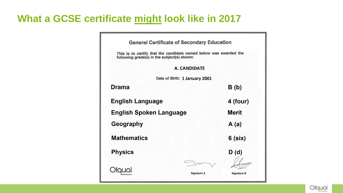#### **What a GCSE certificate might look like in 2017**

| <b>General Certificate of Secondary Education</b>                                                             |                               |                    |
|---------------------------------------------------------------------------------------------------------------|-------------------------------|--------------------|
| This is to certify that the candidate named below was awarded the following grade(s) in the subject(s) shown: |                               |                    |
|                                                                                                               | <b>A. CANDIDATE</b>           |                    |
|                                                                                                               | Date of Birth: 1 January 2001 |                    |
| <b>Drama</b>                                                                                                  |                               | B(b)               |
| <b>English Language</b>                                                                                       |                               | 4 (four)           |
| <b>English Spoken Language</b>                                                                                |                               | <b>Merit</b>       |
| Geography                                                                                                     |                               | A(a)               |
| <b>Mathematics</b>                                                                                            |                               | $6$ (six)          |
| <b>Physics</b>                                                                                                |                               | D(d)               |
|                                                                                                               | <b>Signature A</b>            | <b>Signature B</b> |

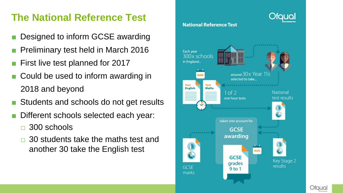## **The National Reference Test**

- Designed to inform GCSE awarding
- **Preliminary test held in March 2016**
- First live test planned for 2017
- Could be used to inform awarding in 2018 and beyond
- Students and schools do not get results
- Different schools selected each year:
	- □ 300 schools
	- □ 30 students take the maths test and another 30 take the English test